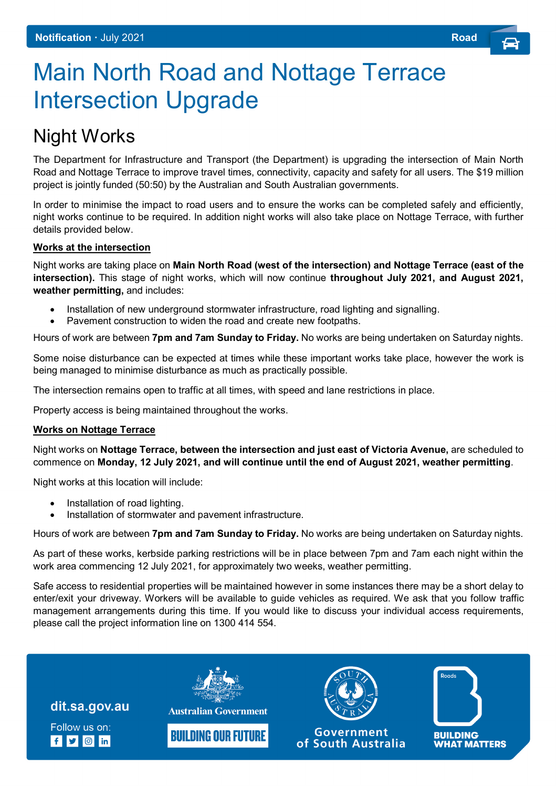## Main North Road and Nottage Terrace Intersection Upgrade

## Night Works

The Department for Infrastructure and Transport (the Department) is upgrading the intersection of Main North Road and Nottage Terrace to improve travel times, connectivity, capacity and safety for all users. The \$19 million project is jointly funded (50:50) by the Australian and South Australian governments.

In order to minimise the impact to road users and to ensure the works can be completed safely and efficiently, night works continue to be required. In addition night works will also take place on Nottage Terrace, with further details provided below.

## **Works at the intersection**

Night works are taking place on **Main North Road (west of the intersection) and Nottage Terrace (east of the intersection).** This stage of night works, which will now continue **throughout July 2021, and August 2021, weather permitting,** and includes:

- Installation of new underground stormwater infrastructure, road lighting and signalling.
- Pavement construction to widen the road and create new footpaths.

Hours of work are between **7pm and 7am Sunday to Friday.** No works are being undertaken on Saturday nights.

Some noise disturbance can be expected at times while these important works take place, however the work is being managed to minimise disturbance as much as practically possible.

The intersection remains open to traffic at all times, with speed and lane restrictions in place.

Property access is being maintained throughout the works.

## **Works on Nottage Terrace**

Night works on **Nottage Terrace, between the intersection and just east of Victoria Avenue,** are scheduled to commence on **Monday, 12 July 2021, and will continue until the end of August 2021, weather permitting**.

Night works at this location will include:

- Installation of road lighting.
- Installation of stormwater and pavement infrastructure.

Hours of work are between **7pm and 7am Sunday to Friday.** No works are being undertaken on Saturday nights.

As part of these works, kerbside parking restrictions will be in place between 7pm and 7am each night within the work area commencing 12 July 2021, for approximately two weeks, weather permitting.

Safe access to residential properties will be maintained however in some instances there may be a short delay to enter/exit your driveway. Workers will be available to guide vehicles as required. We ask that you follow traffic management arrangements during this time. If you would like to discuss your individual access requirements, please call the project information line on 1300 414 554.